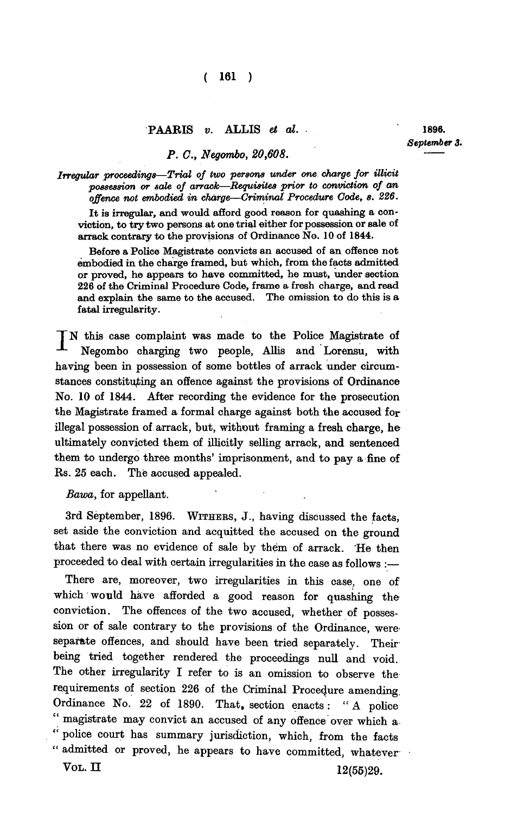## **PAARIS** *v.* **ALLIS** *et al.* **1896.**

*September* **3.** 

## *P. C, Negombo, 20,608.*

## *Irregular proceedings—Trial of two persons under one charge for illicit possession or sale of arrack—Requisites prior to conviction of an offence not embodied in charge—Criminal Procedure Code, 8. 226.*

**It is irregular, and would afford good reason for quashing a conviction, to try two persons at one trial either for possession or sale of arrack contrary to the provisions of Ordinance No. 10 of 1844.** 

**Before a Police Magistrate convicts an accused of an offence not embodied in the charge framed, but which, from the facts admitted or proved, he appears to have committed, he must, under section 226 of the Criminal Procedure Code, frame a fresh charge, and read and explain the same to the accused. The omission to do this is a fatal irregularity.** 

**T N this case complaint was made to the Police Magistrate of Negombo charging two people, Allis and Lorensu, with having been in possession of some bottles of arrack under circumstances constituting an offence against the provisions of Ordinance No. 1 0 of 1844 . After recording the evidence for the prosecution the Magistrate framed a formal charge against both the accused for illegal possession of arrack, but, without framing a fresh charge, he ultimately convicted them of illicitly selling arrack, and sentenced them to undergo three months' imprisonment, and to pay a fine of Rs. 2 5 each. The accused appealed.** 

*Bawa,* **for appellant.** 

**3rd September,<sup>1896</sup> . WITHERS , J. , having discussed the facts, set aside the conviction and acquitted the accused on the ground that there was no evidence of sale by them of arrack. He then proceeded to deal with certain irregularities in the case as follows :—** 

**There are, moreover, two irregularities in this case, one of which would have afforded a good reason for quashing the conviction. The offences of the two accused, whether of possession or of sale contrary to the provisions of the Ordinance, were separate offences, and should have been tried separately. Their being tried together rendered the proceedings null and void. The other irregularity I refer to is an omission to observe the**  requirements of section 226 of the Criminal Procedure amending. **Ordinance No. 2 2 of 1890 . That, section enacts : " A police " magistrate may convict an accused of any offence over which a " police court has summary jurisdiction, which, from the facts " admitted or proved, he appears to have committed, whatever VoL - H 12(55)29 .**